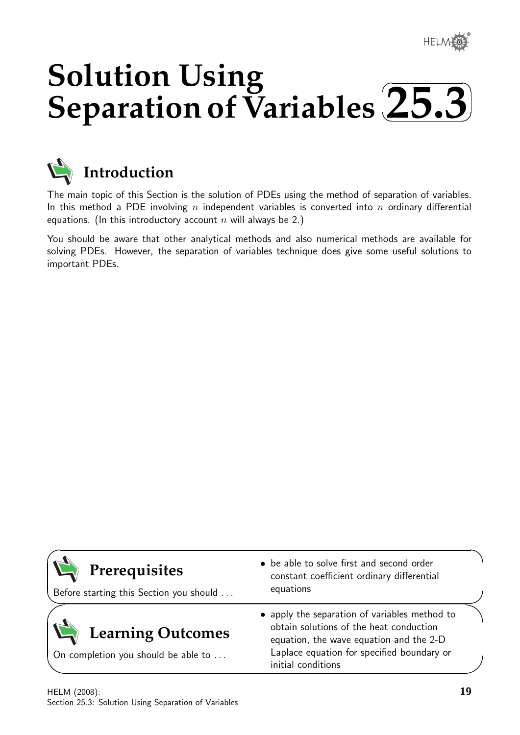# **Solution Using Separation of Variables**  $\sqrt{2}$ ✒ **25.3**✑



# **Introduction**

The main topic of this Section is the solution of PDEs using the method of separation of variables. In this method a PDE involving n independent variables is converted into n ordinary differential equations. (In this introductory account n will always be 2.)

You should be aware that other analytical methods and also numerical methods are available for solving PDEs. However, the separation of variables technique does give some useful solutions to important PDEs.

| Prerequisites<br>Before starting this Section you should        | • be able to solve first and second order<br>constant coefficient ordinary differential<br>equations                                                                                                    |
|-----------------------------------------------------------------|---------------------------------------------------------------------------------------------------------------------------------------------------------------------------------------------------------|
| <b>Learning Outcomes</b><br>On completion you should be able to | • apply the separation of variables method to<br>obtain solutions of the heat conduction<br>equation, the wave equation and the 2-D<br>Laplace equation for specified boundary or<br>initial conditions |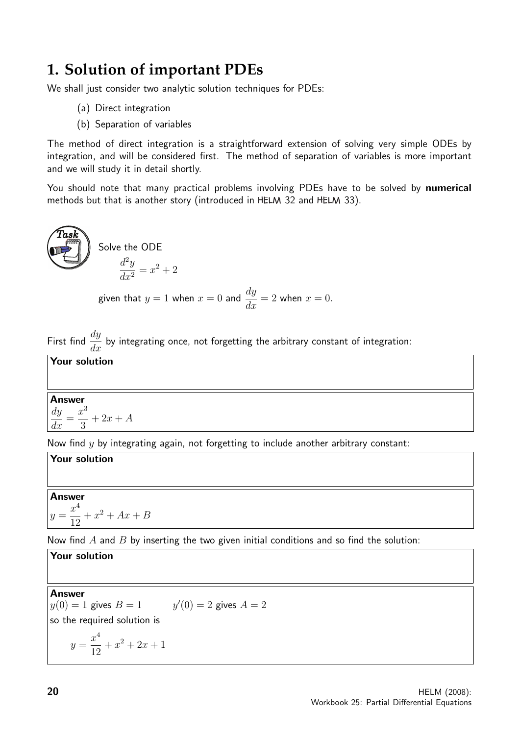# **1. Solution of important PDEs**

We shall just consider two analytic solution techniques for PDEs:

- (a) Direct integration
- (b) Separation of variables

The method of direct integration is a straightforward extension of solving very simple ODEs by integration, and will be considered first. The method of separation of variables is more important and we will study it in detail shortly.

You should note that many practical problems involving PDEs have to be solved by numerical methods but that is another story (introduced in HELM 32 and HELM 33).

**Task**  
Solve the ODE  

$$
\frac{d^2y}{dx^2} = x^2 + 2
$$

given that  $y = 1$  when  $x = 0$  and  $\frac{dy}{dx}$  $\frac{dy}{dx} = 2$  when  $x = 0$ .

First find  $\frac{dy}{dx}$  $\frac{dy}{dx}$  by integrating once, not forgetting the arbitrary constant of integration:

Your solution

#### **Answer** dy  $\frac{dy}{dx} =$  $x^3$  $+ 2x + A$

3

Now find  $y$  by integrating again, not forgetting to include another arbitrary constant:

**Your solution**  
**Answer**  

$$
y = \frac{x^4}{12} + x^2 + Ax + B
$$

Now find  $A$  and  $B$  by inserting the two given initial conditions and so find the solution:

**Your solution**  
\n**Answer**  
\n
$$
y(0) = 1
$$
 gives  $B = 1$   $y'(0) = 2$  gives  $A = 2$   
\nso the required solution is  
\n
$$
y = \frac{x^4}{12} + x^2 + 2x + 1
$$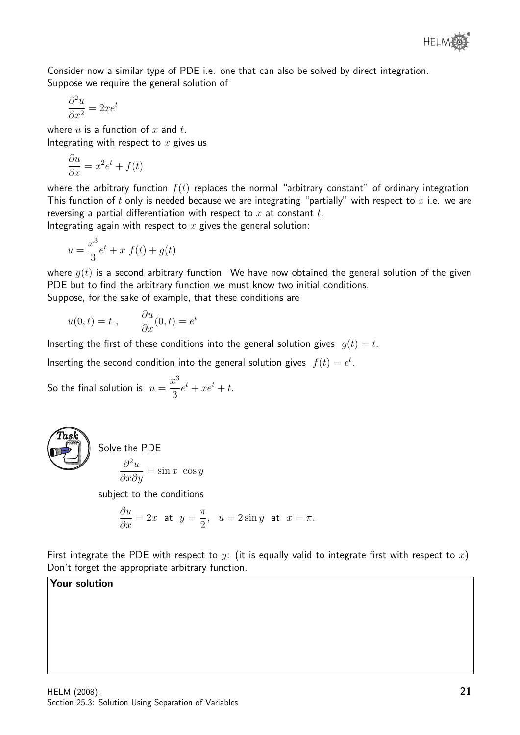

Consider now a similar type of PDE i.e. one that can also be solved by direct integration. Suppose we require the general solution of

$$
\frac{\partial^2 u}{\partial x^2} = 2xe^t
$$

where  $u$  is a function of  $x$  and  $t$ . Integrating with respect to  $x$  gives us

$$
\frac{\partial u}{\partial x} = x^2 e^t + f(t)
$$

where the arbitrary function  $f(t)$  replaces the normal "arbitrary constant" of ordinary integration. This function of t only is needed because we are integrating "partially" with respect to  $x$  i.e. we are reversing a partial differentiation with respect to  $x$  at constant  $t$ .

Integrating again with respect to  $x$  gives the general solution:

$$
u = \frac{x^3}{3}e^t + x f(t) + g(t)
$$

where  $g(t)$  is a second arbitrary function. We have now obtained the general solution of the given PDE but to find the arbitrary function we must know two initial conditions. Suppose, for the sake of example, that these conditions are

$$
u(0,t) = t , \qquad \frac{\partial u}{\partial x}(0,t) = e^t
$$

Inserting the first of these conditions into the general solution gives  $g(t) = t$ .

Inserting the second condition into the general solution gives  $f(t) = e^t$ .

So the final solution is  $u =$  $x^3$ 3  $e^t + xe^t + t.$ 



Solve the PDE

$$
\frac{\partial^2 u}{\partial x \partial y} = \sin x \cos y
$$

subject to the conditions

$$
\frac{\partial u}{\partial x} = 2x \text{ at } y = \frac{\pi}{2}, \quad u = 2\sin y \text{ at } x = \pi.
$$

First integrate the PDE with respect to y: (it is equally valid to integrate first with respect to x). Don't forget the appropriate arbitrary function.

## Your solution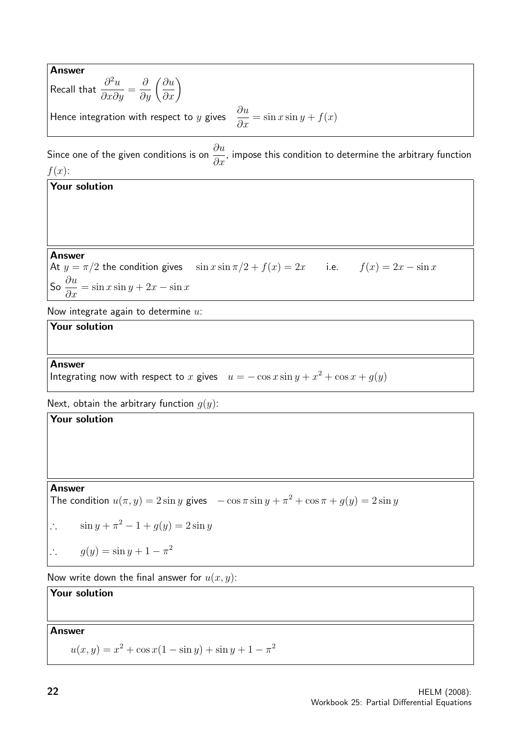Answer Recall that  $\frac{\partial^2 u}{\partial x^2}$  $\frac{\partial}{\partial x \partial y} =$  $\frac{\partial}{\partial y}\left(\frac{\partial u}{\partial x}\right)$ Hence integration with respect to y gives  $\frac{\partial u}{\partial x}$  $rac{\partial x}{\partial x} = \sin x \sin y + f(x)$ Since one of the given conditions is on  $\frac{\partial u}{\partial x}$  $\frac{\partial \alpha}{\partial x}$ , impose this condition to determine the arbitrary function  $f(x)$ : Your solution Answer At  $y = \pi/2$  the condition gives  $\sin x \sin \pi/2 + f(x) = 2x$  i.e.  $f(x) = 2x - \sin x$ So  $\frac{\partial u}{\partial x} = \sin x \sin y + 2x - \sin x$ Now integrate again to determine  $u$ : Your solution Answer Integrating now with respect to x gives  $u = -\cos x \sin y + x^2 + \cos x + g(y)$ Next, obtain the arbitrary function  $g(y)$ : Your solution Answer The condition  $u(\pi, y) = 2 \sin y$  gives  $-\cos \pi \sin y + \pi^2 + \cos \pi + g(y) = 2 \sin y$ ∴  $\sin y + \pi^2 - 1 + g(y) = 2 \sin y$  $\therefore$  g(y) = sin y + 1 -  $\pi^2$ Now write down the final answer for  $u(x, y)$ : Your solution Answer  $u(x, y) = x^2 + \cos x(1 - \sin y) + \sin y + 1 - \pi^2$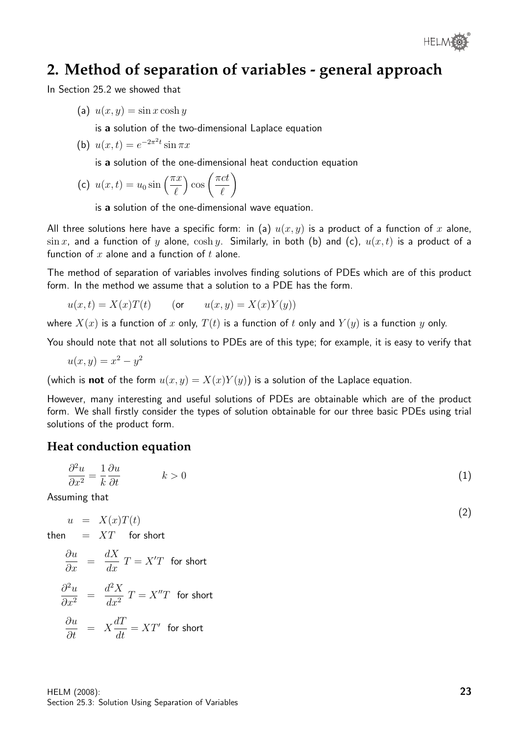

# **2. Method of separation of variables - general approach**

In Section 25.2 we showed that

(a)  $u(x, y) = \sin x \cosh y$ 

is a solution of the two-dimensional Laplace equation

(b) 
$$
u(x,t) = e^{-2\pi^2 t} \sin \pi x
$$

is a solution of the one-dimensional heat conduction equation

(c) 
$$
u(x,t) = u_0 \sin\left(\frac{\pi x}{\ell}\right) \cos\left(\frac{\pi ct}{\ell}\right)
$$

is a solution of the one-dimensional wave equation.

All three solutions here have a specific form: in (a)  $u(x, y)$  is a product of a function of x alone,  $\sin x$ , and a function of y alone,  $\cosh y$ . Similarly, in both (b) and (c),  $u(x, t)$  is a product of a function of x alone and a function of t alone.

The method of separation of variables involves finding solutions of PDEs which are of this product form. In the method we assume that a solution to a PDE has the form.

$$
u(x,t) = X(x)T(t) \qquad \text{(or} \qquad u(x,y) = X(x)Y(y))
$$

where  $X(x)$  is a function of x only,  $T(t)$  is a function of t only and  $Y(y)$  is a function y only.

You should note that not all solutions to PDEs are of this type; for example, it is easy to verify that

$$
u(x,y) = x^2 - y^2
$$

(which is **not** of the form  $u(x, y) = X(x)Y(y)$ ) is a solution of the Laplace equation.

However, many interesting and useful solutions of PDEs are obtainable which are of the product form. We shall firstly consider the types of solution obtainable for our three basic PDEs using trial solutions of the product form.

### **Heat conduction equation**

$$
\frac{\partial^2 u}{\partial x^2} = \frac{1}{k} \frac{\partial u}{\partial t} \qquad k > 0 \tag{1}
$$

Assuming that

$$
u = X(x)T(t)
$$
  
then = XT for short

$$
\frac{\partial u}{\partial x} = \frac{dX}{dx} T = X'T \text{ for short}
$$

$$
\frac{\partial^2 u}{\partial x^2} = \frac{d^2 X}{dx^2} T = X''T
$$
 for short

$$
\frac{\partial u}{\partial t} = X \frac{dT}{dt} = XT' \text{ for short}
$$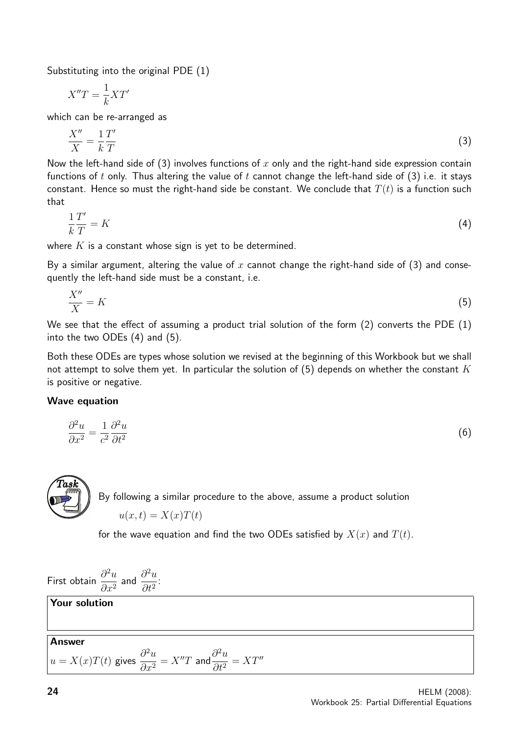Substituting into the original PDE (1)

$$
X''T = \frac{1}{k}XT'
$$

which can be re-arranged as

$$
\frac{X''}{X} = \frac{1}{k}\frac{T'}{T}
$$
\n<sup>(3)</sup>

Now the left-hand side of (3) involves functions of x only and the right-hand side expression contain functions of t only. Thus altering the value of t cannot change the left-hand side of  $(3)$  i.e. it stays constant. Hence so must the right-hand side be constant. We conclude that  $T(t)$  is a function such that

$$
\frac{1}{k}\frac{T'}{T} = K\tag{4}
$$

where  $K$  is a constant whose sign is yet to be determined.

By a similar argument, altering the value of x cannot change the right-hand side of (3) and consequently the left-hand side must be a constant, i.e.

$$
\frac{X''}{X} = K\tag{5}
$$

We see that the effect of assuming a product trial solution of the form (2) converts the PDE (1) into the two ODEs (4) and (5).

Both these ODEs are types whose solution we revised at the beginning of this Workbook but we shall not attempt to solve them yet. In particular the solution of  $(5)$  depends on whether the constant K is positive or negative.

### Wave equation

$$
\frac{\partial^2 u}{\partial x^2} = \frac{1}{c^2} \frac{\partial^2 u}{\partial t^2} \tag{6}
$$



for the wave equation and find the two ODEs satisfied by  $X(x)$  and  $T(t)$ .

First obtain 
$$
\frac{\partial^2 u}{\partial x^2}
$$
 and  $\frac{\partial^2 u}{\partial t^2}$ :  
\n**Your solution**  
\n**Answer**  
\n $u = X(x)T(t)$  gives  $\frac{\partial^2 u}{\partial x^2} = X''T$  and  $\frac{\partial^2 u}{\partial t^2} = XT''$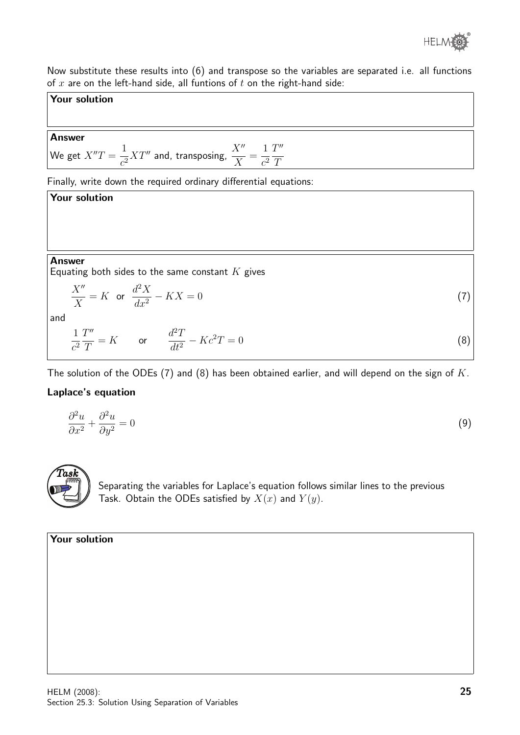

Now substitute these results into (6) and transpose so the variables are separated i.e. all functions of  $x$  are on the left-hand side, all funtions of  $t$  on the right-hand side:

### Your solution

### Answer

We get  $X''T = \frac{1}{\epsilon}$  $\frac{1}{c^2}XT''$  and, transposing,  $\frac{X''}{X}$ = 1  $c^2$  $T''$ T

Finally, write down the required ordinary differential equations:

Your solution Answer Equating both sides to the same constant  $K$  gives  $X''$  $\boldsymbol{X}$  $= K$  or  $d^2X$  $dx^2$  $- K X = 0$  (7) and 1  $c^2$  $T''$ T  $= K$  or  $d^2T$  $dt^2$  $- K c^2 T = 0$  (8)

The solution of the ODEs (7) and (8) has been obtained earlier, and will depend on the sign of  $K$ .

## Laplace's equation

$$
\frac{\partial^2 u}{\partial x^2} + \frac{\partial^2 u}{\partial y^2} = 0\tag{9}
$$



Separating the variables for Laplace's equation follows similar lines to the previous Task. Obtain the ODEs satisfied by  $X(x)$  and  $Y(y)$ .

### Your solution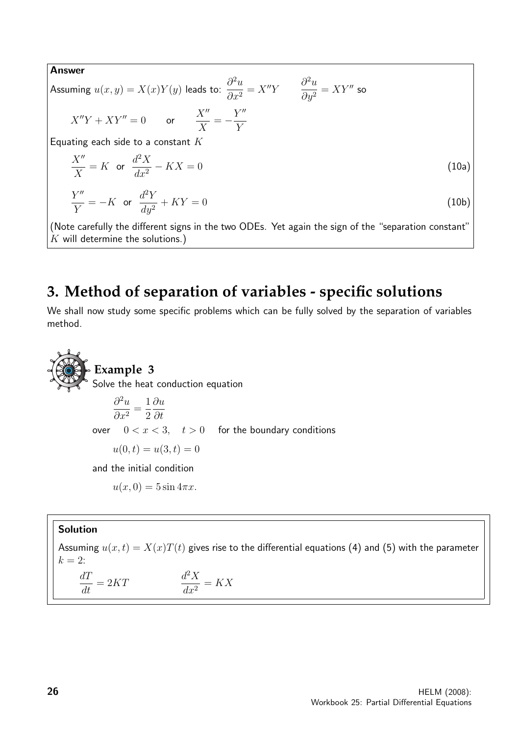Answer

Assuming  $u(x,y) = X(x)Y(y)$  leads to:  $\frac{\partial^2 u}{\partial x^2}$  $\partial x^2$  $=X''Y$   $\frac{\partial^2 u}{\partial x^2}$  $\partial y^2$  $= XY''$  so  $X''Y + XY'' = 0$  or  $\frac{X''}{Y}$  $\boldsymbol{X}$  $=-\frac{Y''}{Y}$ Y Equating each side to a constant  $K$  $X''$  $\boldsymbol{X}$  $= K$  or  $d^2X$  $dx^2$  $- K X = 0$  (10a)

$$
\frac{Y''}{Y} = -K \quad \text{or} \quad \frac{d^2Y}{dy^2} + KY = 0 \tag{10b}
$$

(Note carefully the different signs in the two ODEs. Yet again the sign of the "separation constant"  $K$  will determine the solutions.)

# **3. Method of separation of variables - specific solutions**

We shall now study some specific problems which can be fully solved by the separation of variables method.

**Example 3**  
Solve the heat conduction equation  

$$
\frac{\partial^2 u}{\partial x^2} = \frac{1}{2} \frac{\partial u}{\partial t}
$$
over  $0 < x < 3$ ,  $t > 0$  for the boundary conditions  
 $u(0, t) = u(3, t) = 0$   
and the initial condition  
 $u(x, 0) = 5 \sin 4\pi x$ .

### Solution

Assuming  $u(x, t) = X(x)T(t)$  gives rise to the differential equations (4) and (5) with the parameter  $k = 2$ :  $\frac{dT}{dt} = 2KT$   $\frac{d}{d}$  ${}^{2}X$  $\frac{d^{2}X}{dx^{2}} = KX$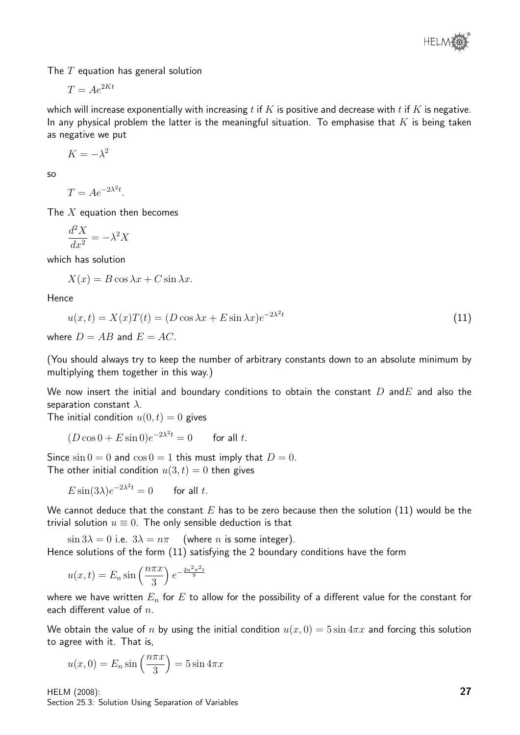The  $T$  equation has general solution

$$
T = Ae^{2Kt}
$$

which will increase exponentially with increasing  $t$  if  $K$  is positive and decrease with  $t$  if  $K$  is negative. In any physical problem the latter is the meaningful situation. To emphasise that  $K$  is being taken as negative we put

 $K = -\lambda^2$ 

so

$$
T = Ae^{-2\lambda^2 t}.
$$

The  $X$  equation then becomes

$$
\frac{d^2X}{dx^2} = -\lambda^2 X
$$

which has solution

 $X(x) = B \cos \lambda x + C \sin \lambda x.$ 

Hence

$$
u(x,t) = X(x)T(t) = (D\cos\lambda x + E\sin\lambda x)e^{-2\lambda^2t}
$$
\n<sup>(11)</sup>

where  $D = AB$  and  $E = AC$ .

(You should always try to keep the number of arbitrary constants down to an absolute minimum by multiplying them together in this way.)

We now insert the initial and boundary conditions to obtain the constant  $D$  and E and also the separation constant  $\lambda$ .

The initial condition  $u(0, t) = 0$  gives

$$
(D\cos 0 + E\sin 0)e^{-2\lambda^2 t} = 0 \qquad \text{for all } t.
$$

Since  $\sin 0 = 0$  and  $\cos 0 = 1$  this must imply that  $D = 0$ . The other initial condition  $u(3, t) = 0$  then gives

$$
E\sin(3\lambda)e^{-2\lambda^2t} = 0 \qquad \text{for all } t.
$$

We cannot deduce that the constant  $E$  has to be zero because then the solution (11) would be the trivial solution  $u \equiv 0$ . The only sensible deduction is that

 $\sin 3\lambda = 0$  i.e.  $3\lambda = n\pi$  (where *n* is some integer). Hence solutions of the form (11) satisfying the 2 boundary conditions have the form

$$
u(x,t) = E_n \sin\left(\frac{n\pi x}{3}\right) e^{-\frac{2n^2\pi^2 t}{9}}
$$

where we have written  $E_n$  for E to allow for the possibility of a different value for the constant for each different value of  $n$ .

We obtain the value of n by using the initial condition  $u(x, 0) = 5 \sin 4\pi x$  and forcing this solution to agree with it. That is,

$$
u(x, 0) = E_n \sin\left(\frac{n\pi x}{3}\right) = 5\sin 4\pi x
$$

HELM (2008): Section 25.3: Solution Using Separation of Variables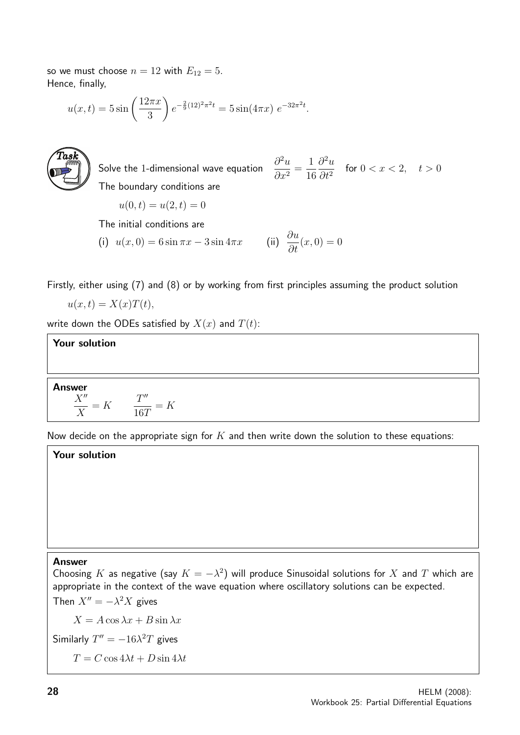so we must choose  $n = 12$  with  $E_{12} = 5$ . Hence, finally,

$$
u(x,t) = 5\sin\left(\frac{12\pi x}{3}\right)e^{-\frac{2}{9}(12)^2\pi^2 t} = 5\sin(4\pi x)e^{-32\pi^2 t}.
$$



Solve the 1-dimensional wave equation  $^{2}u$  $\frac{\partial}{\partial x^2} =$ 1 16  $\partial^2 u$  $\frac{\partial^2 u}{\partial t^2}$  for  $0 < x < 2$ ,  $t > 0$ The boundary conditions are

$$
u(0,t) = u(2,t) = 0
$$

The initial conditions are

(i) 
$$
u(x, 0) = 6 \sin \pi x - 3 \sin 4\pi x
$$
 (ii)  $\frac{\partial u}{\partial t}(x, 0) = 0$ 

Firstly, either using (7) and (8) or by working from first principles assuming the product solution

$$
u(x,t) = X(x)T(t),
$$

write down the ODEs satisfied by  $X(x)$  and  $T(t)$ :

### Your solution

Answer  
\n
$$
\frac{X''}{X} = K \qquad \frac{T''}{16T} = K
$$

Now decide on the appropriate sign for  $K$  and then write down the solution to these equations:

# Your solution

#### Answer

Choosing K as negative (say  $K = -\lambda^2$ ) will produce Sinusoidal solutions for X and T which are appropriate in the context of the wave equation where oscillatory solutions can be expected. Then  $X'' = -\lambda^2 X$  gives

 $X = A \cos \lambda x + B \sin \lambda x$  $\frac{u}{16\lambda^2}$ 

Similarly 
$$
T'' = -16\lambda^2 T
$$
 gives

 $T = C \cos 4\lambda t + D \sin 4\lambda t$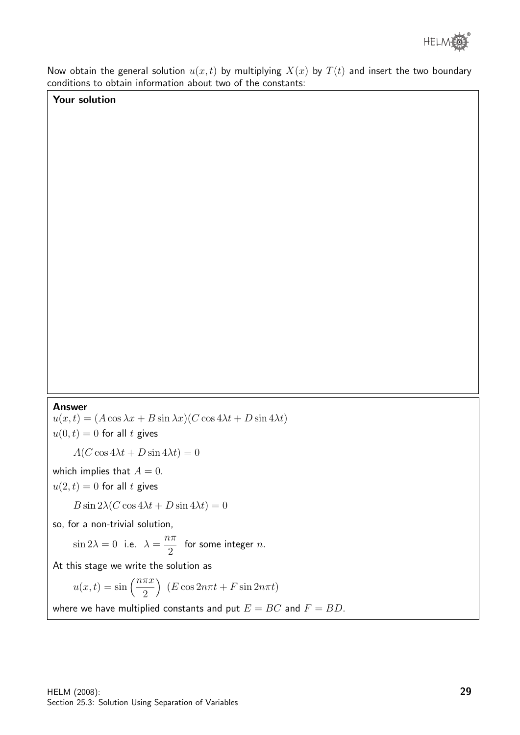

Now obtain the general solution  $u(x, t)$  by multiplying  $X(x)$  by  $T(t)$  and insert the two boundary conditions to obtain information about two of the constants:

## Your solution

#### Answer

 $u(x, t) = (A \cos \lambda x + B \sin \lambda x)(C \cos 4\lambda t + D \sin 4\lambda t)$  $u(0, t) = 0$  for all t gives

 $A(C \cos 4\lambda t + D \sin 4\lambda t) = 0$ 

which implies that  $A = 0$ .

 $u(2, t) = 0$  for all t gives

$$
B\sin 2\lambda(C\cos 4\lambda t + D\sin 4\lambda t) = 0
$$

so, for a non-trivial solution,

 $\sin 2\lambda = 0$  i.e.  $\lambda =$  $n\pi$ 2 for some integer  $n$ .

At this stage we write the solution as

$$
u(x,t) = \sin\left(\frac{n\pi x}{2}\right) \ (E\cos 2n\pi t + F\sin 2n\pi t)
$$

where we have multiplied constants and put  $E = BC$  and  $F = BD$ .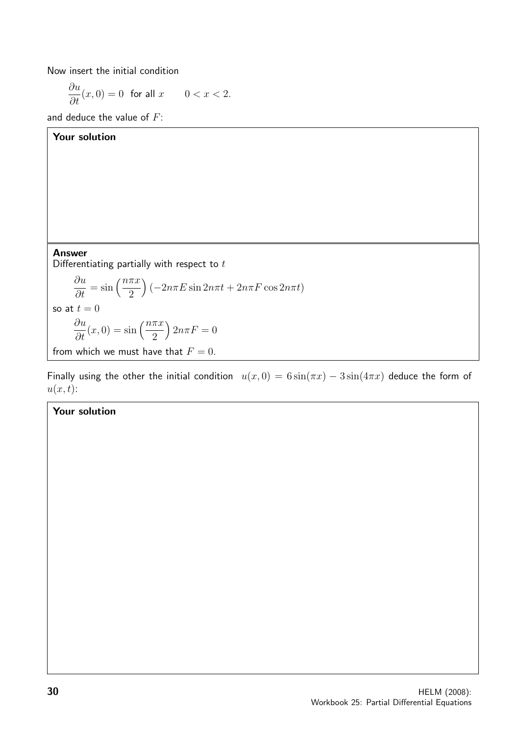Now insert the initial condition

$$
\frac{\partial u}{\partial t}(x,0) = 0 \quad \text{for all } x \qquad 0 < x < 2.
$$

and deduce the value of  $F$ :

| Your solution                                                                                                                 |
|-------------------------------------------------------------------------------------------------------------------------------|
|                                                                                                                               |
|                                                                                                                               |
|                                                                                                                               |
|                                                                                                                               |
|                                                                                                                               |
| <b>Answer</b>                                                                                                                 |
| Differentiating partially with respect to $t$                                                                                 |
| $\frac{\partial u}{\partial t} = \sin\left(\frac{n\pi x}{2}\right) \left(-2n\pi E \sin 2n\pi t + 2n\pi F \cos 2n\pi t\right)$ |
| so at $t=0$                                                                                                                   |
| $\frac{\partial u}{\partial t}(x,0) = \sin\left(\frac{n\pi x}{2}\right)2n\pi F = 0$                                           |
| from which we must have that $F = 0$ .                                                                                        |

Finally using the other the initial condition  $u(x, 0) = 6 \sin(\pi x) - 3 \sin(4\pi x)$  deduce the form of  $u(x, t)$ :

# Your solution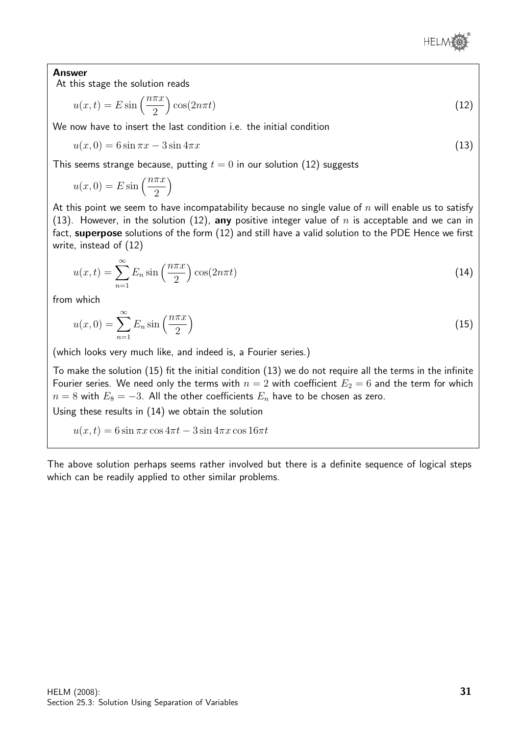

### Answer

At this stage the solution reads

$$
u(x,t) = E \sin\left(\frac{n\pi x}{2}\right) \cos(2n\pi t) \tag{12}
$$

We now have to insert the last condition i.e. the initial condition

$$
u(x,0) = 6\sin\pi x - 3\sin 4\pi x\tag{13}
$$

This seems strange because, putting  $t = 0$  in our solution (12) suggests

$$
u(x,0) = E \sin\left(\frac{n\pi x}{2}\right)
$$

At this point we seem to have incompatability because no single value of n will enable us to satisfy (13). However, in the solution (12), any positive integer value of  $n$  is acceptable and we can in fact, superpose solutions of the form (12) and still have a valid solution to the PDE Hence we first write, instead of (12)

$$
u(x,t) = \sum_{n=1}^{\infty} E_n \sin\left(\frac{n\pi x}{2}\right) \cos(2n\pi t)
$$
 (14)

from which

$$
u(x,0) = \sum_{n=1}^{\infty} E_n \sin\left(\frac{n\pi x}{2}\right)
$$
\n(15)

(which looks very much like, and indeed is, a Fourier series.)

To make the solution (15) fit the initial condition (13) we do not require all the terms in the infinite Fourier series. We need only the terms with  $n = 2$  with coefficient  $E_2 = 6$  and the term for which  $n = 8$  with  $E_8 = -3$ . All the other coefficients  $E_n$  have to be chosen as zero.

Using these results in (14) we obtain the solution

 $u(x, t) = 6 \sin \pi x \cos 4\pi t - 3 \sin 4\pi x \cos 16\pi t$ 

The above solution perhaps seems rather involved but there is a definite sequence of logical steps which can be readily applied to other similar problems.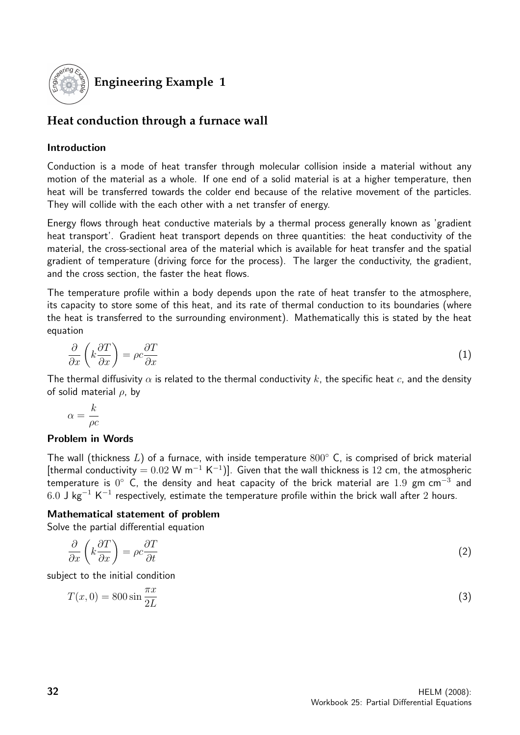

# **Engineering Example 1**

# **Heat conduction through a furnace wall**

# Introduction

Conduction is a mode of heat transfer through molecular collision inside a material without any motion of the material as a whole. If one end of a solid material is at a higher temperature, then heat will be transferred towards the colder end because of the relative movement of the particles. They will collide with the each other with a net transfer of energy.

Energy flows through heat conductive materials by a thermal process generally known as 'gradient heat transport'. Gradient heat transport depends on three quantities: the heat conductivity of the material, the cross-sectional area of the material which is available for heat transfer and the spatial gradient of temperature (driving force for the process). The larger the conductivity, the gradient, and the cross section, the faster the heat flows.

The temperature profile within a body depends upon the rate of heat transfer to the atmosphere, its capacity to store some of this heat, and its rate of thermal conduction to its boundaries (where the heat is transferred to the surrounding environment). Mathematically this is stated by the heat equation

$$
\frac{\partial}{\partial x}\left(k\frac{\partial T}{\partial x}\right) = \rho c \frac{\partial T}{\partial x} \tag{1}
$$

The thermal diffusivity  $\alpha$  is related to the thermal conductivity k, the specific heat c, and the density of solid material  $\rho$ , by

$$
\alpha = \frac{k}{\rho c}
$$

## Problem in Words

The wall (thickness L) of a furnace, with inside temperature  $800^{\circ}$  C, is comprised of brick material [thermal conductivity =  $0.02$  W m<sup>-1</sup> K<sup>-1</sup>)]. Given that the wall thickness is 12 cm, the atmospheric temperature is  $0^{\circ}$  C, the density and heat capacity of the brick material are  $1.9\,$  gm cm $^{-3}$  and  $6.0$  J kg $^{-1}$  K $^{-1}$  respectively, estimate the temperature profile within the brick wall after  $2$  hours.

## Mathematical statement of problem

Solve the partial differential equation

$$
\frac{\partial}{\partial x}\left(k\frac{\partial T}{\partial x}\right) = \rho c \frac{\partial T}{\partial t} \tag{2}
$$

subject to the initial condition

$$
T(x,0) = 800\sin\frac{\pi x}{2L}
$$
\n<sup>(3)</sup>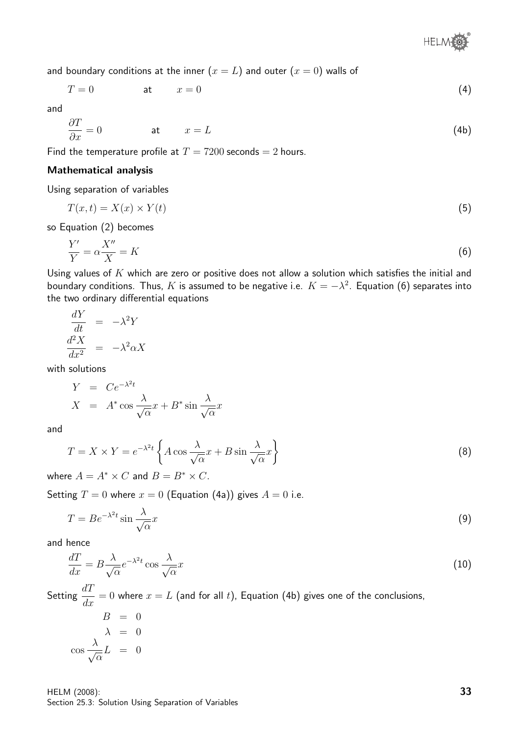® **HELMI** 

and boundary conditions at the inner  $(x = L)$  and outer  $(x = 0)$  walls of

$$
T = 0 \qquad \qquad \text{at} \qquad x = 0 \tag{4}
$$

and

$$
\frac{\partial T}{\partial x} = 0 \qquad \qquad \text{at} \qquad x = L \tag{4b}
$$

Find the temperature profile at  $T = 7200$  seconds  $= 2$  hours.

### Mathematical analysis

Using separation of variables

$$
T(x,t) = X(x) \times Y(t) \tag{5}
$$

so Equation (2) becomes

$$
\frac{Y'}{Y} = \alpha \frac{X''}{X} = K \tag{6}
$$

Using values of  $K$  which are zero or positive does not allow a solution which satisfies the initial and boundary conditions. Thus,  $K$  is assumed to be negative i.e.  $K=-\lambda^2$ . Equation (6) separates into the two ordinary differential equations

$$
\frac{dY}{dt} = -\lambda^2 Y
$$

$$
\frac{d^2 X}{dx^2} = -\lambda^2 \alpha X
$$

with solutions

$$
Y = Ce^{-\lambda^2 t}
$$
  

$$
X = A^* \cos \frac{\lambda}{\sqrt{\alpha}} x + B^* \sin \frac{\lambda}{\sqrt{\alpha}} x
$$

and

$$
T = X \times Y = e^{-\lambda^2 t} \left\{ A \cos \frac{\lambda}{\sqrt{\alpha}} x + B \sin \frac{\lambda}{\sqrt{\alpha}} x \right\}
$$
 (8)

where  $A = A^* \times C$  and  $B = B^* \times C$ .

Setting  $T = 0$  where  $x = 0$  (Equation (4a)) gives  $A = 0$  i.e.

$$
T = Be^{-\lambda^2 t} \sin \frac{\lambda}{\sqrt{\alpha}} x \tag{9}
$$

and hence

$$
\frac{dT}{dx} = B \frac{\lambda}{\sqrt{\alpha}} e^{-\lambda^2 t} \cos \frac{\lambda}{\sqrt{\alpha}} x \tag{10}
$$

Setting  $\frac{dT}{dt}$  $\frac{du}{dx} = 0$  where  $x = L$  (and for all  $t$ ), Equation (4b) gives one of the conclusions,